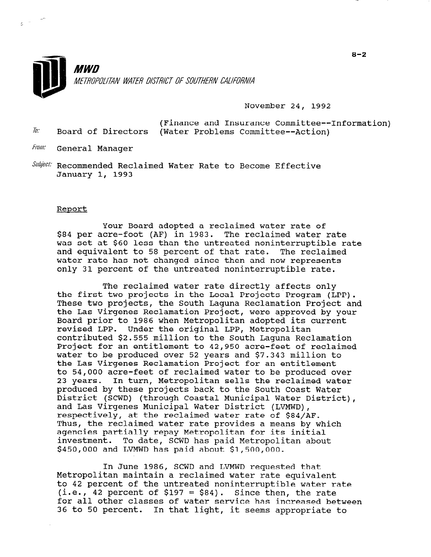

November 24, 1992

(Finance and Insurance Committee--Information) Board of Directors (Water Problems Committee--Action)

From: General Manager

 $\bar{w}$ :

 $\tilde{\mathbf{g}}^{(i)}$  and

 $\mathcal{S}$ ubject: Recommended Reclaimed Water Rate to Become Effective January 1, 1993

#### Report

Your Board adopted a reclaimed water rate of \$84 per acre-foot (AF) in 1983. The reclaimed water rate was set at \$60 less than the untreated noninterruptible rate and equivalent to 58 percent of that rate. The reclaimed water rate has not changed since then and now represents only 31 percent of the untreated noninterruptible rate.

The reclaimed water rate directly affects only the first two projects in the Local Projects Program (LPP). These two projects, the South Laguna Reclamation Project and the Las Virgenes Reclamation Project, were approved by your Board prior to 1986 when Metropolitan adopted its current revised LPP. Under the original LPP, Metropolitan contributed \$2.555 million to the South Laguna Reclamation Project for an entitlement to 42,950 acre-feet of reclaimed water to be produced over 52 years and \$7.343 million to the Las Virgenes Reclamation Project for an entitlement to 54,000 acre-feet of reclaimed water to be produced over 23 years. In turn, Metropolitan sells the reclaimed water produced by these projects back to the South Coast Water District (SCWD) (through Coastal Municipal Water District), and Las Virgenes Municipal Water District (LVMWD), respectively, at the reclaimed water rate of \$84/AF. Iespectively, at the reclaimed water rate of 904/Af.<br>Thus, the realsimed water rate provides a means by which inus, the reclaimed water rate provides a means by agencies partially repay Metropolitan for its initial<br>investment. To date, SCWD has paid Metropolitan about \$450,000 and LVMWD has paid about \$1,500,000.

 $T_{\text{max}}$  1986, SCWD and LUMWD requested that the  $T_{\text{max}}$ In June 1986, SCWD and LVMWD requested that Metropolitan maintain a reclaimed water rate equivalent to 42 percent of the untreated noninterruptible water rate (i.e., 42 percent of  $$197 = $84$ ). Since then, the rate for all other classes of water service has increased between<br>36 to 50 percent. In that light, it seems appropriate to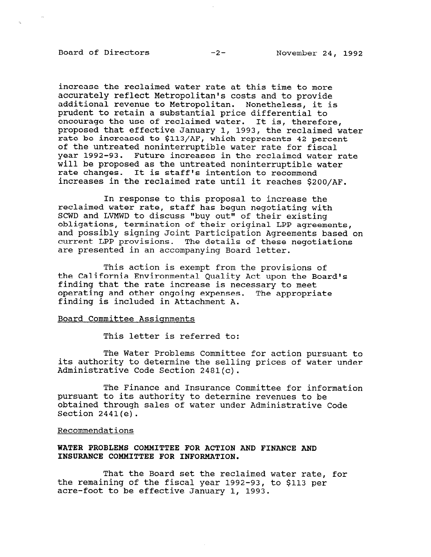# Board of Directors -2- November 24, 1992

increase the reclaimed water rate at this time to more accurately reflect Metropolitan's costs and to provide additional revenue to Metropolitan. Nonetheless, it is prudent to retain a substantial price differential to encourage the use of reclaimed water. It is, therefore, proposed that effective January 1, 1993, the reclaimed water rate be increased to \$113/AF, which represents 42 percent of the untreated noninterruptible water rate for fiscal year 1992-93. Future increases in the reclaimed water rate will be proposed as the untreated noninterruptible water rate changes. It is staff's intention to recommend increases in the reclaimed rate until it reaches \$200/AF.

In response to this proposal to increase the reclaimed water rate, staff has begun negotiating with SCWD and LVMWD to discuss "buy out" of their existing obligations, termination of their original LPP agreements, and possibly signing Joint Participation Agreements based on current LPP provisions. The details of these negotiations are presented in an accompanying Board letter.

This action is exempt from the provisions of the California Environmental Quality Act upon the Board's finding that the rate increase is necessary to meet operating and other ongoing expenses. The appropriate finding is included in Attachment A.

#### Board Committee Assignments

This letter is referred to:

The Water Problems Committee for action pursuant to its authority to determine the selling prices of water under Administrative Code Section 2481(c).

The Finance and Insurance Committee for information pursuant to its authority to determine revenues to be obtained through sales of water under Administrative Code Section 2441(e).

#### Recommendations

## WATER PROBLEMS COMMITTEE FOR ACTION AND FINANCE AND INSURANCE COMMITTEE FOR INFORMATION.

That the Board set the reclaimed water rate, for that the board set the reclaimed water rate, the remaining of the fiscal year 1992-93, to \$113 per acre-foot to be effective January 1, 1993.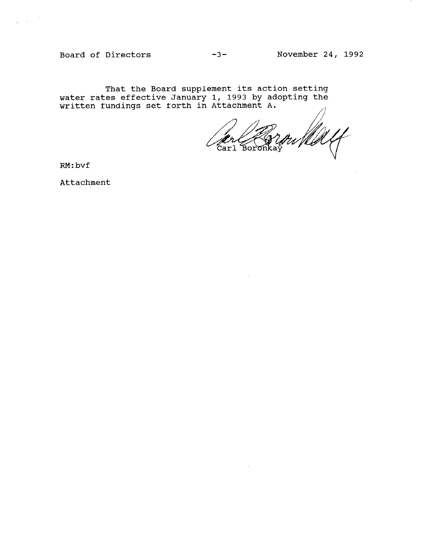Board of Directors -3- November 24, 1992

That the Board supplement its action setti water rates effective January 1, 1993 by adopting the written fundings set forth in Attachment A.

n *flik* t onkay<br>onkay  $\alpha$ <sup>r</sup> $\alpha$ <sup>r</sup>

 $\sim$ 

RM:bvf

 $\sigma_{\rm c} \sim 10^{-12}$ 

Attachment